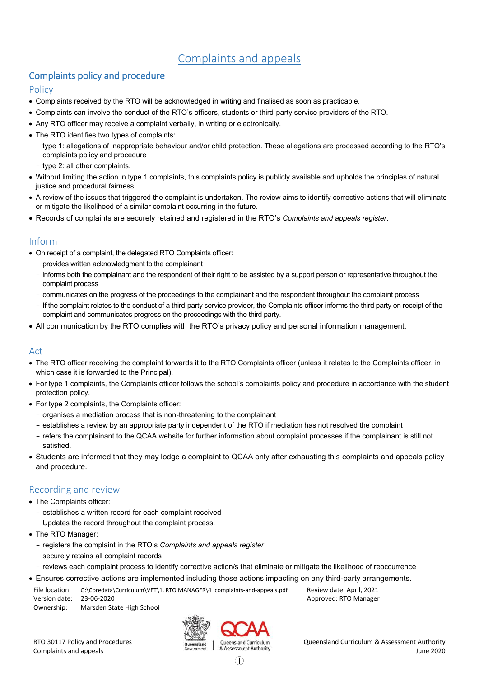# Complaints and appeals

# Complaints policy and procedure

### **Policy**

- Complaints received by the RTO will be acknowledged in writing and finalised as soon as practicable.
- Complaints can involve the conduct of the RTO's officers, students or third-party service providers of the RTO.
- Any RTO officer may receive a complaint verbally, in writing or electronically.
- The RTO identifies two types of complaints:
	- type 1: allegations of inappropriate behaviour and/or child protection. These allegations are processed according to the RTO's complaints policy and procedure
	- type 2: all other complaints.
- Without limiting the action in type 1 complaints, this complaints policy is publicly available and upholds the principles of natural justice and procedural fairness.
- A review of the issues that triggered the complaint is undertaken. The review aims to identify corrective actions that will eliminate or mitigate the likelihood of a similar complaint occurring in the future.
- Records of complaints are securely retained and registered in the RTO's *Complaints and appeals register*.

#### Inform

- On receipt of a complaint, the delegated RTO Complaints officer:
	- provides written acknowledgment to the complainant
	- informs both the complainant and the respondent of their right to be assisted by a support person or representative throughout the complaint process
	- communicates on the progress of the proceedings to the complainant and the respondent throughout the complaint process
	- If the complaint relates to the conduct of a third-party service provider, the Complaints officer informs the third party on receipt of the complaint and communicates progress on the proceedings with the third party.
- All communication by the RTO complies with the RTO's privacy policy and personal information management.

# **Act**

- The RTO officer receiving the complaint forwards it to the RTO Complaints officer (unless it relates to the Complaints officer, in which case it is forwarded to the Principal).
- For type 1 complaints, the Complaints officer follows the school's complaints policy and procedure in accordance with the student protection policy.
- For type 2 complaints, the Complaints officer:
	- organises a mediation process that is non-threatening to the complainant
	- establishes a review by an appropriate party independent of the RTO if mediation has not resolved the complaint
	- refers the complainant to the QCAA website for further information about complaint processes if the complainant is still not satisfied.
- Students are informed that they may lodge a complaint to QCAA only after exhausting this complaints and appeals policy and procedure.

# Recording and review

- The Complaints officer:
	- establishes a written record for each complaint received
	- Updates the record throughout the complaint process.
- The RTO Manager:
	- registers the complaint in the RTO's *Complaints and appeals register*
	- securely retains all complaint records
	- reviews each complaint process to identify corrective action/s that eliminate or mitigate the likelihood of reoccurrence

#### Ensures corrective actions are implemented including those actions impacting on any third-party arrangements.

|                          | File location: G:\Coredata\Curriculum\VET\1. RTO MANAGER\4 complaints-and-appeals.pdf | Review date: April, 2021 |
|--------------------------|---------------------------------------------------------------------------------------|--------------------------|
| Version date: 23-06-2020 |                                                                                       | Approved: RTO Manager    |
| Ownership:               | Marsden State High School                                                             |                          |

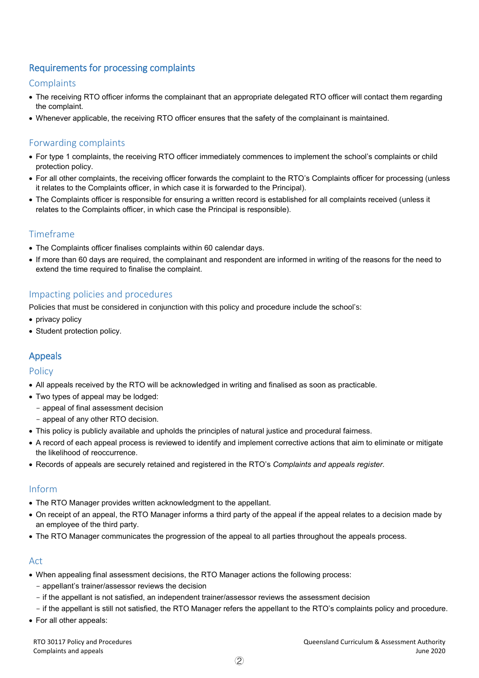# Requirements for processing complaints

### **Complaints**

- The receiving RTO officer informs the complainant that an appropriate delegated RTO officer will contact them regarding the complaint.
- Whenever applicable, the receiving RTO officer ensures that the safety of the complainant is maintained.

### Forwarding complaints

- For type 1 complaints, the receiving RTO officer immediately commences to implement the school's complaints or child protection policy.
- For all other complaints, the receiving officer forwards the complaint to the RTO's Complaints officer for processing (unless it relates to the Complaints officer, in which case it is forwarded to the Principal).
- The Complaints officer is responsible for ensuring a written record is established for all complaints received (unless it relates to the Complaints officer, in which case the Principal is responsible).

# Timeframe

- The Complaints officer finalises complaints within 60 calendar days.
- If more than 60 days are required, the complainant and respondent are informed in writing of the reasons for the need to extend the time required to finalise the complaint.

### Impacting policies and procedures

Policies that must be considered in conjunction with this policy and procedure include the school's:

- privacy policy
- Student protection policy.

# Appeals

### Policy

- All appeals received by the RTO will be acknowledged in writing and finalised as soon as practicable.
- Two types of appeal may be lodged:
	- appeal of final assessment decision
	- appeal of any other RTO decision.
- This policy is publicly available and upholds the principles of natural justice and procedural fairness.
- A record of each appeal process is reviewed to identify and implement corrective actions that aim to eliminate or mitigate the likelihood of reoccurrence.
- Records of appeals are securely retained and registered in the RTO's *Complaints and appeals register*.

### Inform

- The RTO Manager provides written acknowledgment to the appellant.
- On receipt of an appeal, the RTO Manager informs a third party of the appeal if the appeal relates to a decision made by an employee of the third party.
- The RTO Manager communicates the progression of the appeal to all parties throughout the appeals process.

# Act

- When appealing final assessment decisions, the RTO Manager actions the following process:
	- appellant's trainer/assessor reviews the decision
	- if the appellant is not satisfied, an independent trainer/assessor reviews the assessment decision
	- if the appellant is still not satisfied, the RTO Manager refers the appellant to the RTO's complaints policy and procedure.
- For all other appeals: